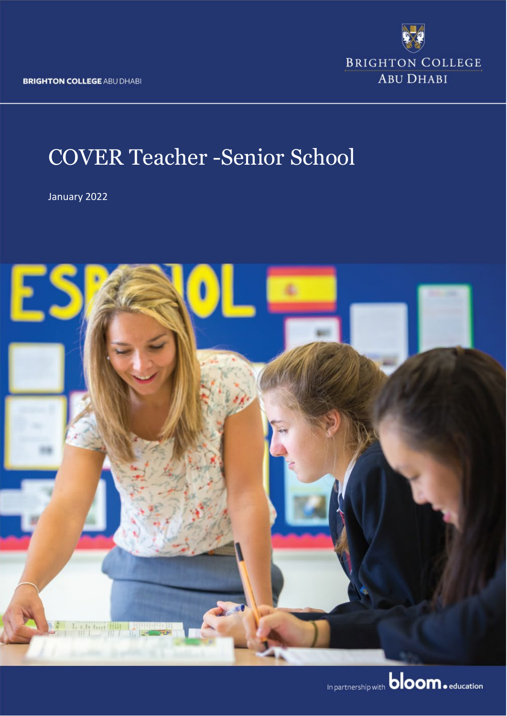**BRIGHTON COLLEGE ABU DHABI** 



# COVER Teacher -Senior School

January 2022

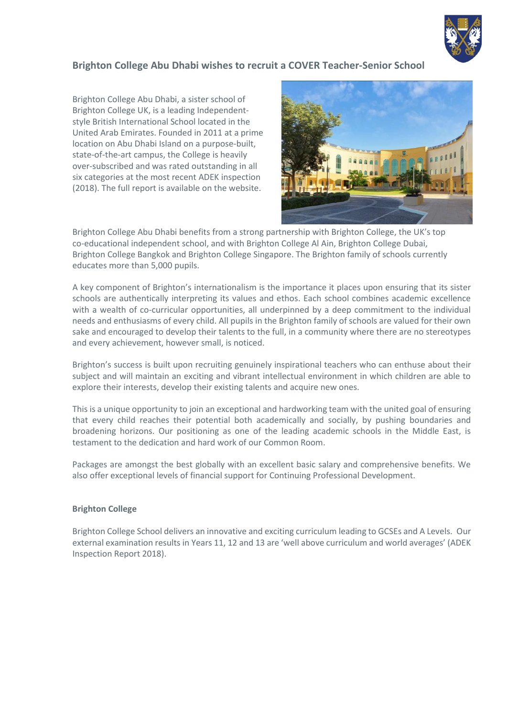

#### **Brighton College Abu Dhabi wishes to recruit a COVER Teacher-Senior School**

Brighton College Abu Dhabi, a sister school of Brighton College UK, is a leading Independentstyle British International School located in the United Arab Emirates. Founded in 2011 at a prime location on Abu Dhabi Island on a purpose-built, state-of-the-art campus, the College is heavily over-subscribed and was rated outstanding in all six categories at the most recent ADEK inspection (2018). The full report is available on the website.



Brighton College Abu Dhabi benefits from a strong partnership with Brighton College, the UK's top co-educational independent school, and with Brighton College Al Ain, Brighton College Dubai, Brighton College Bangkok and Brighton College Singapore. The Brighton family of schools currently educates more than 5,000 pupils.

A key component of Brighton's internationalism is the importance it places upon ensuring that its sister schools are authentically interpreting its values and ethos. Each school combines academic excellence with a wealth of co-curricular opportunities, all underpinned by a deep commitment to the individual needs and enthusiasms of every child. All pupils in the Brighton family of schools are valued for their own sake and encouraged to develop their talents to the full, in a community where there are no stereotypes and every achievement, however small, is noticed.

Brighton's success is built upon recruiting genuinely inspirational teachers who can enthuse about their subject and will maintain an exciting and vibrant intellectual environment in which children are able to explore their interests, develop their existing talents and acquire new ones.

This is a unique opportunity to join an exceptional and hardworking team with the united goal of ensuring that every child reaches their potential both academically and socially, by pushing boundaries and broadening horizons. Our positioning as one of the leading academic schools in the Middle East, is testament to the dedication and hard work of our Common Room.

Packages are amongst the best globally with an excellent basic salary and comprehensive benefits. We also offer exceptional levels of financial support for Continuing Professional Development.

#### **Brighton College**

Brighton College School delivers an innovative and exciting curriculum leading to GCSEs and A Levels. Our external examination results in Years 11, 12 and 13 are 'well above curriculum and world averages' (ADEK Inspection Report 2018).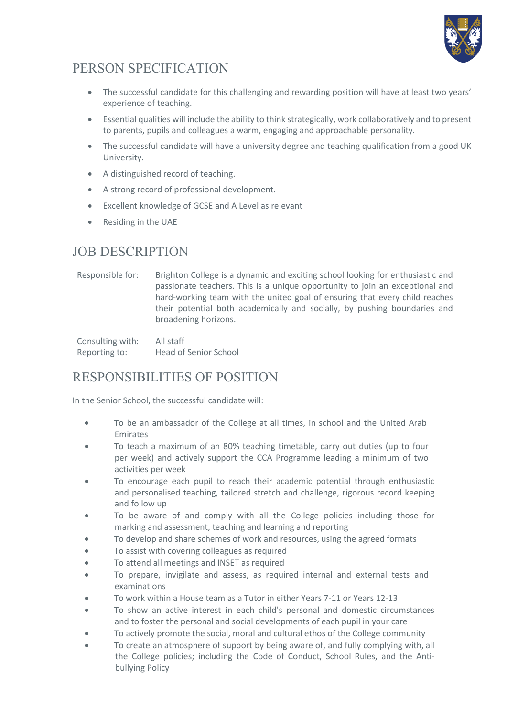

## PERSON SPECIFICATION

- The successful candidate for this challenging and rewarding position will have at least two years' experience of teaching.
- Essential qualities will include the ability to think strategically, work collaboratively and to present to parents, pupils and colleagues a warm, engaging and approachable personality.
- The successful candidate will have a university degree and teaching qualification from a good UK University.
- A distinguished record of teaching.
- A strong record of professional development.
- Excellent knowledge of GCSE and A Level as relevant
- Residing in the UAE

#### JOB DESCRIPTION

Responsible for: Brighton College is a dynamic and exciting school looking for enthusiastic and passionate teachers. This is a unique opportunity to join an exceptional and hard-working team with the united goal of ensuring that every child reaches their potential both academically and socially, by pushing boundaries and broadening horizons.

Consulting with: All staff Reporting to: Head of Senior School

### RESPONSIBILITIES OF POSITION

In the Senior School, the successful candidate will:

- To be an ambassador of the College at all times, in school and the United Arab Emirates
- To teach a maximum of an 80% teaching timetable, carry out duties (up to four per week) and actively support the CCA Programme leading a minimum of two activities per week
- To encourage each pupil to reach their academic potential through enthusiastic and personalised teaching, tailored stretch and challenge, rigorous record keeping and follow up
- To be aware of and comply with all the College policies including those for marking and assessment, teaching and learning and reporting
- To develop and share schemes of work and resources, using the agreed formats
- To assist with covering colleagues as required
- To attend all meetings and INSET as required
- To prepare, invigilate and assess, as required internal and external tests and examinations
- To work within a House team as a Tutor in either Years 7-11 or Years 12-13
- To show an active interest in each child's personal and domestic circumstances and to foster the personal and social developments of each pupil in your care
- To actively promote the social, moral and cultural ethos of the College community
- To create an atmosphere of support by being aware of, and fully complying with, all the College policies; including the Code of Conduct, School Rules, and the Antibullying Policy